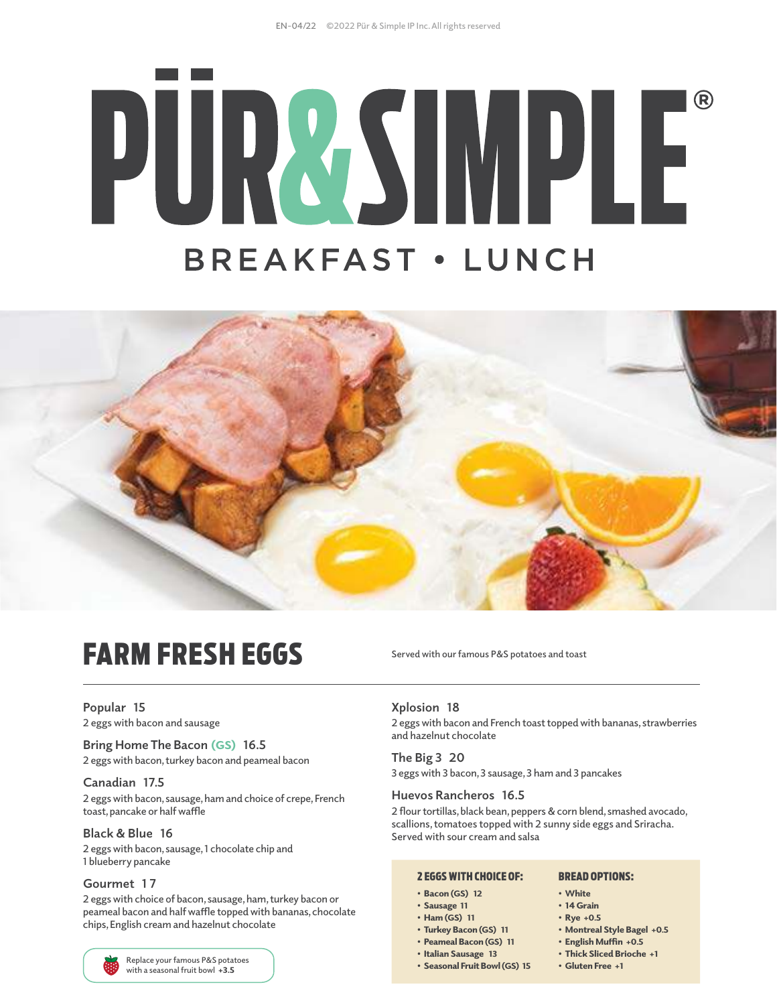# PURZSIMPLE **BREAKFAST · LUNCH**



### FARM FRESH EGGS

**Popular 15 2 eggs with bacon and sausage**

**Bring Home The Bacon** (GS) **16.5 2 eggs with bacon, turkey bacon and peameal bacon** 

#### **Canadian 17.5**

**2 eggs with bacon, sausage, ham and choice of crepe, French toast, pancake or half waffle**

#### **Black & Blue 16**

**2 eggs with bacon, sausage, 1 chocolate chip and 1 blueberry pancake**

#### **Gourmet 1 7**

**2 eggs with choice of bacon, sausage, ham, turkey bacon or peameal bacon and half waffle topped with bananas, chocolate chips, English cream and hazelnut chocolate** 



**Served with our famous P&S potatoes and toast**

#### **Xplosion 18**

**2 eggs with bacon and French toast topped with bananas, strawberries and hazelnut chocolate** 

**The Big 3 20**

**3 eggs with 3 bacon, 3 sausage, 3 ham and 3 pancakes**

#### **Huevos Rancheros 16.5**

**2 flour tortillas, black bean, peppers & corn blend, smashed avocado, scallions, tomatoes topped with 2 sunny side eggs and Sriracha. Served with sour cream and salsa**

#### 2 EGGS WITH CHOICE OF:

- Bacon (GS) 12
- Sausage 11
- Ham (GS) 11
- Turkey Bacon (GS) 11
- Peameal Bacon (GS) 11
- Italian Sausage 13
- Seasonal Fruit Bowl (GS) 15

#### BREAD OPTIONS:

- White
	- 14 Grain
	- Rye +0.5
	- Montreal Style Bagel +0.5
	- English Muffin +0.5
	- Thick Sliced Brioche +1
	- Gluten Free +1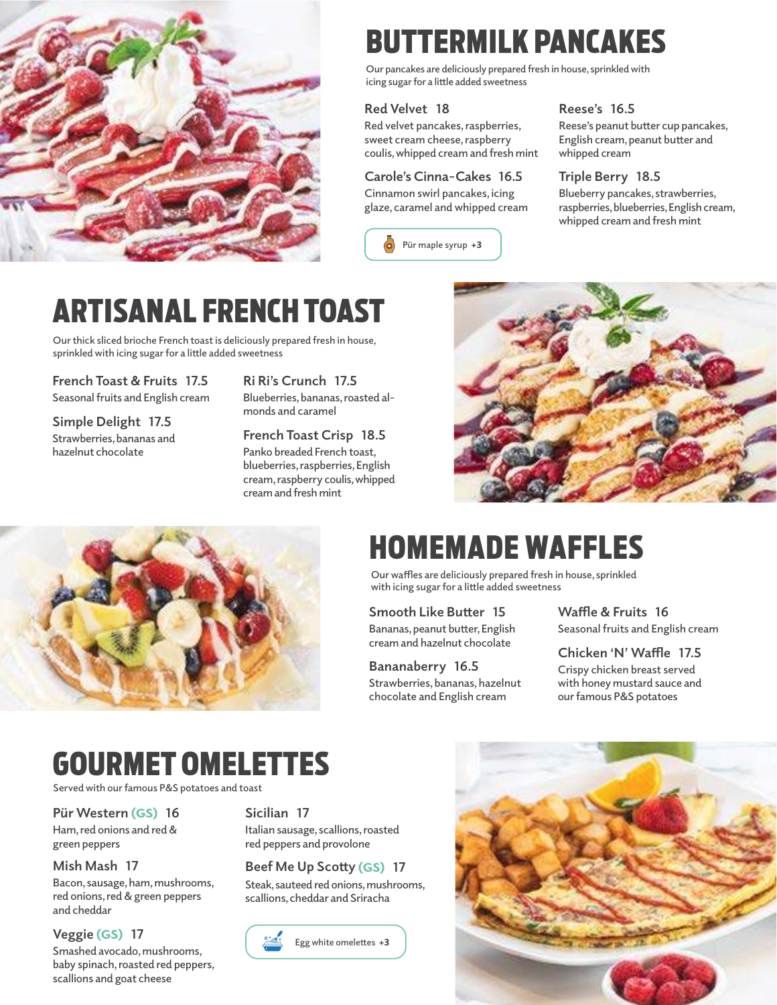

## BUTTERMILK PANCAKES

**Our pancakes are deliciously prepared fresh in house, sprinkled with icing sugar for a little added sweetness**

#### **Red Velvet  18**

**Red velvet pancakes, raspberries, sweet cream cheese, raspberry coulis, whipped cream and fresh mint**

#### **Carole's Cinna-Cakes 16.5**

**Cinnamon swirl pancakes, icing glaze, caramel and whipped cream**



#### **Reese's 16.5**

**Reese's peanut butter cup pancakes, English cream, peanut butter and whipped cream**

#### **Triple Berry 18.5**

**Blueberry pancakes, strawberries, raspberries, blueberries, English cream, whipped cream and fresh mint**

### ARTISANAL FRENCH TOAST

**Our thick sliced brioche French toast is deliciously prepared fresh in house, sprinkled with icing sugar for a little added sweetness**

**French Toast & Fruits 17.5 Seasonal fruits and English cream**

**Simple Delight 17.5 Strawberries, bananas and hazelnut chocolate**

**Ri Ri's Crunch 17.5 Blueberries, bananas, roasted almonds and caramel**

**French Toast Crisp 18.5 Panko breaded French toast, blueberries, raspberries, English cream, raspberry coulis, whipped cream and fresh mint**





### HOMEMADE WAFFLES

**Our waffles are deliciously prepared fresh in house, sprinkled with icing sugar for a little added sweetness**

**Smooth Like Butter 15 Bananas, peanut butter, English cream and hazelnut chocolate** 

**Bananaberry 16.5 Strawberries, bananas, hazelnut chocolate and English cream**

**Waffle & Fruits 16 Seasonal fruits and English cream**

**Chicken 'N' Waffle 17.5 Crispy chicken breast served with honey mustard sauce and our famous P&S potatoes**

### GOURMET OMELETTES

**Served with our famous P&S potatoes and toast**

**Pür Western** (GS) **16**

**Ham, red onions and red & green peppers**

#### **Mish Mash 17**

**Bacon, sausage, ham, mushrooms, red onions, red & green peppers and cheddar**

#### **Veggie** (GS) **17**

**Smashed avocado, mushrooms, baby spinach, roasted red peppers, scallions and goat cheese**

#### **Sicilian 17**

**Italian sausage, scallions, roasted red peppers and provolone**

#### **Beef Me Up Scotty** (GS) **17**

**Steak, sauteed red onions, mushrooms, scallions, cheddar and Sriracha** 



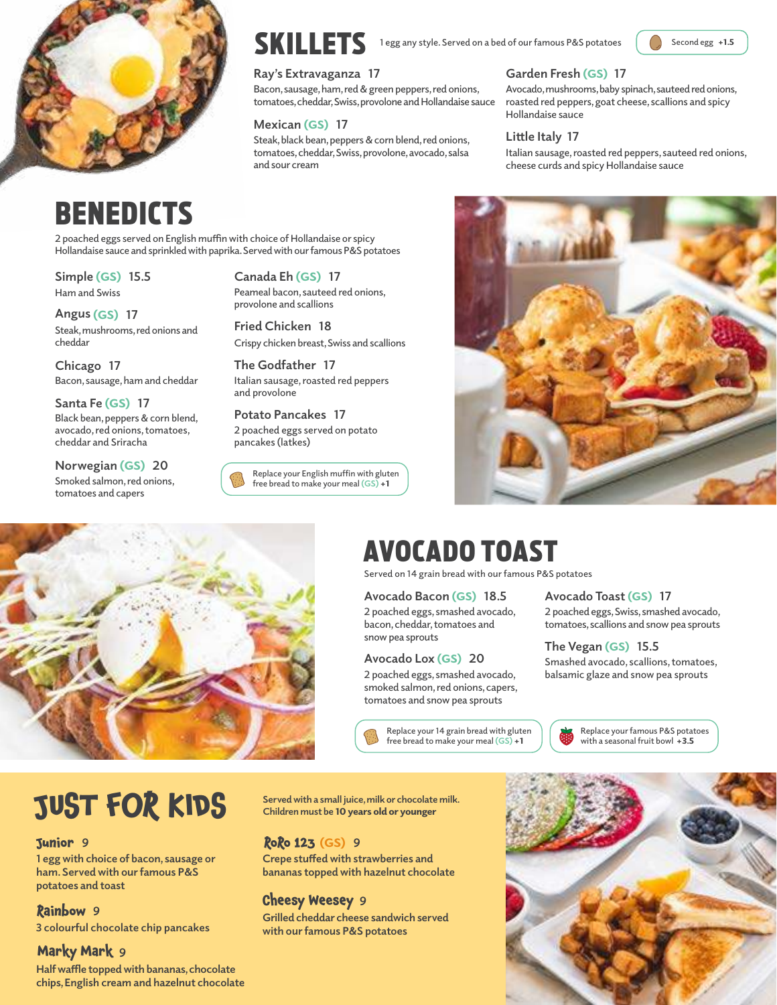



**1** egg any style. Served on a bed of our famous P&S potatoes **SKILLETS** 1egg any style. Served on a bed of our famous P&S potatoes

#### **Ray's Extravaganza 17**

**Bacon, sausage, ham, red & green peppers, red onions, tomatoes, cheddar, Swiss, provolone and Hollandaise sauce**

#### **Mexican** (GS) **17**

**Steak, black bean, peppers & corn blend, red onions, tomatoes, cheddar, Swiss, provolone, avocado, salsa and sour cream**

#### **Garden Fresh** (GS) **17**

**Avocado, mushrooms, baby spinach, sauteed red onions, roasted red peppers, goat cheese, scallions and spicy Hollandaise sauce**

#### **Little Italy 17**

**Italian sausage, roasted red peppers, sauteed red onions, cheese curds and spicy Hollandaise sauce**

### BENEDICTS

**2 poached eggs served on English muffin with choice of Hollandaise or spicy Hollandaise sauce and sprinkled with paprika. Served with our famous P&S potatoes**

**Simple** (GS) **15.5 Ham and Swiss**

**Angus** (GS) **17 Steak, mushrooms, red onions and cheddar**

**Chicago 17 Bacon, sausage, ham and cheddar**

**Santa Fe** (GS) **17 Black bean, peppers & corn blend, avocado, red onions, tomatoes, cheddar and Sriracha**

**Norwegian** (GS) **20 Smoked salmon, red onions, tomatoes and capers**

**Canada Eh** (GS) **17 Peameal bacon, sauteed red onions, provolone and scallions**

**Fried Chicken 18 Crispy chicken breast, Swiss and scallions**

**The Godfather 17 Italian sausage, roasted red peppers and provolone**

**Potato Pancakes 17 2 poached eggs served on potato pancakes (latkes)** 

**Replace your English muffin with gluten free bread to make your meal (GS)** +1





### AVOCADO TOAST

**Served on 14 grain bread with our famous P&S potatoes**

#### **Avocado Bacon** (GS) **18.5**

**2 poached eggs, smashed avocado, bacon, cheddar, tomatoes and snow pea sprouts**

#### **Avocado Lox** (GS) **20**

**2 poached eggs, smashed avocado, smoked salmon, red onions, capers, tomatoes and snow pea sprouts**

> **Replace your 14 grain bread with gluten free bread to make your meal (GS)** +1

**Avocado Toast** (GS) **17**

**2 poached eggs, Swiss, smashed avocado, tomatoes, scallions and snow pea sprouts**

#### **The Vegan** (GS) **15.5**

**Smashed avocado, scallions, tomatoes, balsamic glaze and snow pea sprouts**

> **Replace your famous P&S potatoes with a seasonal fruit bowl** +3.5

## **Served with a small juice, milk or chocolate milk. JUST FOR KIDS Children must be** 10 years old or younger

#### **9 Junior**

**1 egg with choice of bacon, sausage or ham. Served with our famous P&S potatoes and toast**

#### **9 Rainbow**

**3 colourful chocolate chip pancakes**

#### **9 Marky Mark**

**Half waffle topped with bananas, chocolate chips, English cream and hazelnut chocolate** 

#### (GS) **9 RoRo 123**

**Crepe stuffed with strawberries and bananas topped with hazelnut chocolate** 

#### **9 Cheesy Weesey**

**Grilled cheddar cheese sandwich served with our famous P&S potatoes**